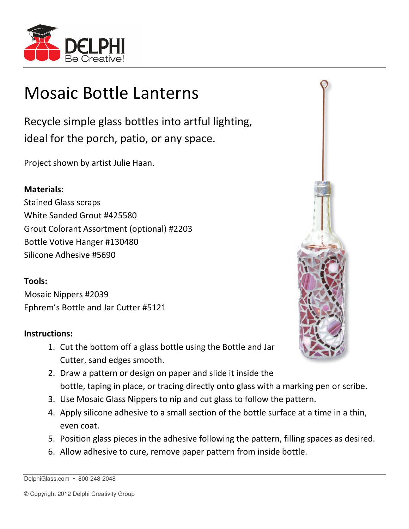

## Mosaic Bottle Lanterns

Recycle simple glass bottles into artful lighting, ideal for the porch, patio, or any space.

Project shown by artist Julie Haan.

## Materials:

Stained Glass scraps White Sanded Grout #425580 Grout Colorant Assortment (optional) #2203 Bottle Votive Hanger #130480 Silicone Adhesive #5690

## Tools:

Mosaic Nippers #2039 Ephrem's Bottle and Jar Cutter #5121

## Instructions:

- 1. Cut the bottom off a glass bottle using the Bottle and Jar Cutter, sand edges smooth.
- 
- 2. Draw a pattern or design on paper and slide it inside the bottle, taping in place, or tracing directly onto glass with a marking pen or scribe.
- 3. Use Mosaic Glass Nippers to nip and cut glass to follow the pattern.
- 4. Apply silicone adhesive to a small section of the bottle surface at a time in a thin, even coat.
- 5. Position glass pieces in the adhesive following the pattern, filling spaces as desired.
- 6. Allow adhesive to cure, remove paper pattern from inside bottle.